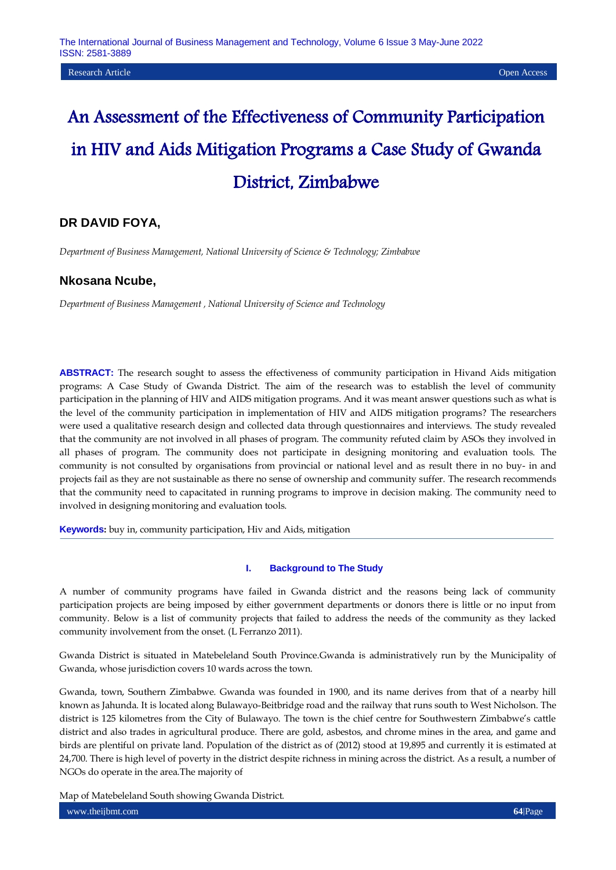# An Assessment of the Effectiveness of Community Participation in HIV and Aids Mitigation Programs a Case Study of Gwanda District, Zimbabwe

# **DR DAVID FOYA,**

*Department of Business Management, National University of Science & Technology; Zimbabwe*

## **Nkosana Ncube,**

*Department of Business Management , National University of Science and Technology* 

**ABSTRACT:** The research sought to assess the effectiveness of community participation in Hivand Aids mitigation programs: A Case Study of Gwanda District. The aim of the research was to establish the level of community participation in the planning of HIV and AIDS mitigation programs. And it was meant answer questions such as what is the level of the community participation in implementation of HIV and AIDS mitigation programs? The researchers were used a qualitative research design and collected data through questionnaires and interviews. The study revealed that the community are not involved in all phases of program. The community refuted claim by ASOs they involved in all phases of program. The community does not participate in designing monitoring and evaluation tools. The community is not consulted by organisations from provincial or national level and as result there in no buy- in and projects fail as they are not sustainable as there no sense of ownership and community suffer. The research recommends that the community need to capacitated in running programs to improve in decision making. The community need to involved in designing monitoring and evaluation tools.

**Keywords:** buy in, community participation, Hiv and Aids, mitigation

## **I. Background to The Study**

A number of community programs have failed in Gwanda district and the reasons being lack of community participation projects are being imposed by either government departments or donors there is little or no input from community. Below is a list of community projects that failed to address the needs of the community as they lacked community involvement from the onset. (L Ferranzo 2011).

Gwanda District is situated in Matebeleland South Province.Gwanda is administratively run by the Municipality of Gwanda, whose jurisdiction covers 10 wards across the town.

Gwanda, town, Southern [Zimbabwe.](https://www.britannica.com/place/Zimbabwe) Gwanda was founded in 1900, and its name derives from that of a nearby hill known as Jahunda. It is located along Bulawayo-Beitbridge road and the railway that runs south to West Nicholson. The district is 125 kilometres from the City of Bulawayo. The town is the chief centre for Southwestern Zimbabwe"s cattle district and also trades in agricultural produce. There are gold, [asbestos,](https://www.britannica.com/science/asbestos-mineral) and chrome mines in the area, and game and birds are plentiful on private land. Population of the district as of (2012) stood at 19,895 and currently it is estimated at 24,700. There is high level of poverty in the district despite richness in mining across the district. As a result, a number of NGOs do operate in the area.The majority of

www.theijbmt.com **64**|Page Map of Matebeleland South showing Gwanda District.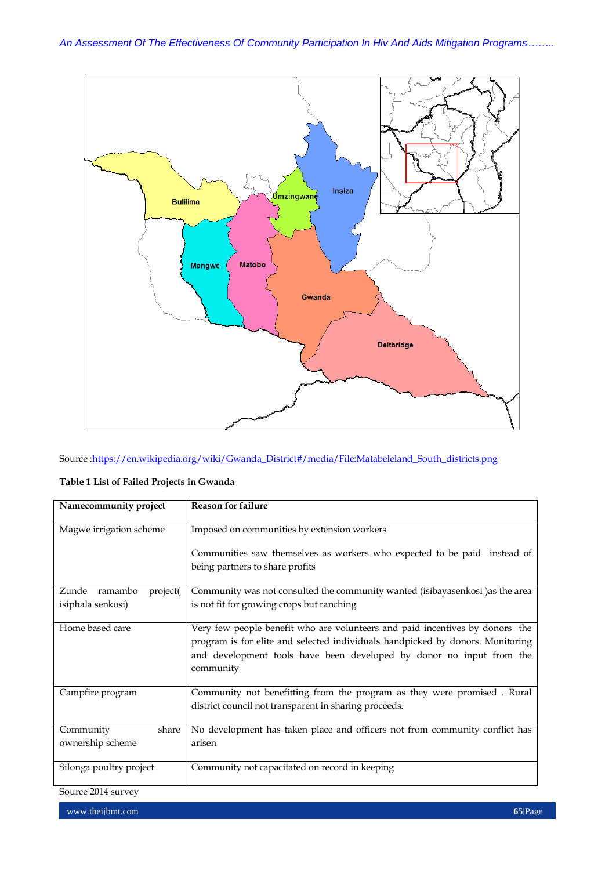

Source : https://en.wikipedia.org/wiki/Gwanda\_District#/media/File:Matabeleland\_South\_districts.png

| Namecommunity project                             | <b>Reason for failure</b>                                                                                                                                                                                                                           |
|---------------------------------------------------|-----------------------------------------------------------------------------------------------------------------------------------------------------------------------------------------------------------------------------------------------------|
| Magwe irrigation scheme                           | Imposed on communities by extension workers                                                                                                                                                                                                         |
|                                                   | Communities saw themselves as workers who expected to be paid instead of<br>being partners to share profits                                                                                                                                         |
| Zunde<br>ramambo<br>project(<br>isiphala senkosi) | Community was not consulted the community wanted (isibayasenkosi) as the area<br>is not fit for growing crops but ranching                                                                                                                          |
| Home based care                                   | Very few people benefit who are volunteers and paid incentives by donors the<br>program is for elite and selected individuals handpicked by donors. Monitoring<br>and development tools have been developed by donor no input from the<br>community |
| Campfire program                                  | Community not benefitting from the program as they were promised. Rural<br>district council not transparent in sharing proceeds.                                                                                                                    |
| Community<br>share<br>ownership scheme            | No development has taken place and officers not from community conflict has<br>arisen                                                                                                                                                               |
| Silonga poultry project                           | Community not capacitated on record in keeping                                                                                                                                                                                                      |

## **Table 1 List of Failed Projects in Gwanda**

Source 2014 survey

www.theijbmt.com **65**|Page **65**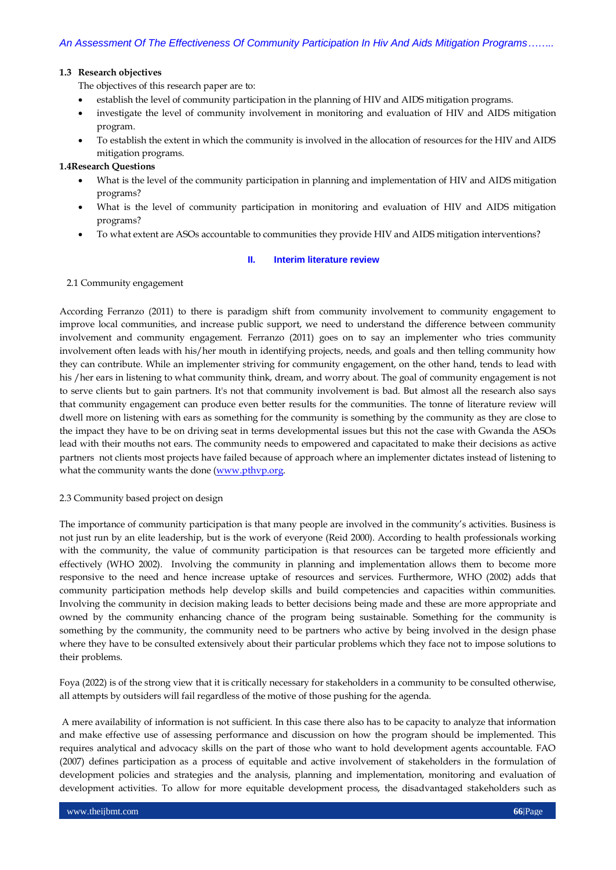## **1.3 Research objectives**

The objectives of this research paper are to:

- establish the level of community participation in the planning of HIV and AIDS mitigation programs.
- investigate the level of community involvement in monitoring and evaluation of HIV and AIDS mitigation program.
- To establish the extent in which the community is involved in the allocation of resources for the HIV and AIDS mitigation programs.

## **1.4Research Questions**

- What is the level of the community participation in planning and implementation of HIV and AIDS mitigation programs?
- What is the level of community participation in monitoring and evaluation of HIV and AIDS mitigation programs?
- To what extent are ASOs accountable to communities they provide HIV and AIDS mitigation interventions?

## **II. Interim literature review**

## 2.1 Community engagement

According Ferranzo (2011) to there is paradigm shift from community involvement to community engagement to improve local communities, and increase public support, we need to understand the difference between community involvement and community engagement. Ferranzo (2011) goes on to say an implementer who tries community involvement often leads with his/her mouth in identifying projects, needs, and goals and then telling community how they can contribute. While an implementer striving for community engagement, on the other hand, tends to lead with his /her ears in listening to what community think, dream, and worry about. The goal of community engagement is not to serve clients but to gain partners. It's not that community involvement is bad. But almost all the research also says that community engagement can produce even better results for the communities. The tonne of literature review will dwell more on listening with ears as something for the community is something by the community as they are close to the impact they have to be on driving seat in terms developmental issues but this not the case with Gwanda the ASOs lead with their mouths not ears. The community needs to empowered and capacitated to make their decisions as active partners not clients most projects have failed because of approach where an implementer dictates instead of listening to what the community wants the done [\(www.pthvp.org.](http://www.pthvp.org/)

## 2.3 Community based project on design

The importance of community participation is that many people are involved in the community"s activities. Business is not just run by an elite leadership, but is the work of everyone (Reid 2000). According to health professionals working with the community, the value of community participation is that resources can be targeted more efficiently and effectively (WHO 2002). Involving the community in planning and implementation allows them to become more responsive to the need and hence increase uptake of resources and services. Furthermore, WHO (2002) adds that community participation methods help develop skills and build competencies and capacities within communities. Involving the community in decision making leads to better decisions being made and these are more appropriate and owned by the community enhancing chance of the program being sustainable. Something for the community is something by the community, the community need to be partners who active by being involved in the design phase where they have to be consulted extensively about their particular problems which they face not to impose solutions to their problems.

Foya (2022) is of the strong view that it is critically necessary for stakeholders in a community to be consulted otherwise, all attempts by outsiders will fail regardless of the motive of those pushing for the agenda.

A mere availability of information is not sufficient. In this case there also has to be capacity to analyze that information and make effective use of assessing performance and discussion on how the program should be implemented. This requires analytical and advocacy skills on the part of those who want to hold development agents accountable. FAO (2007) defines participation as a process of equitable and active involvement of stakeholders in the formulation of development policies and strategies and the analysis, planning and implementation, monitoring and evaluation of development activities. To allow for more equitable development process, the disadvantaged stakeholders such as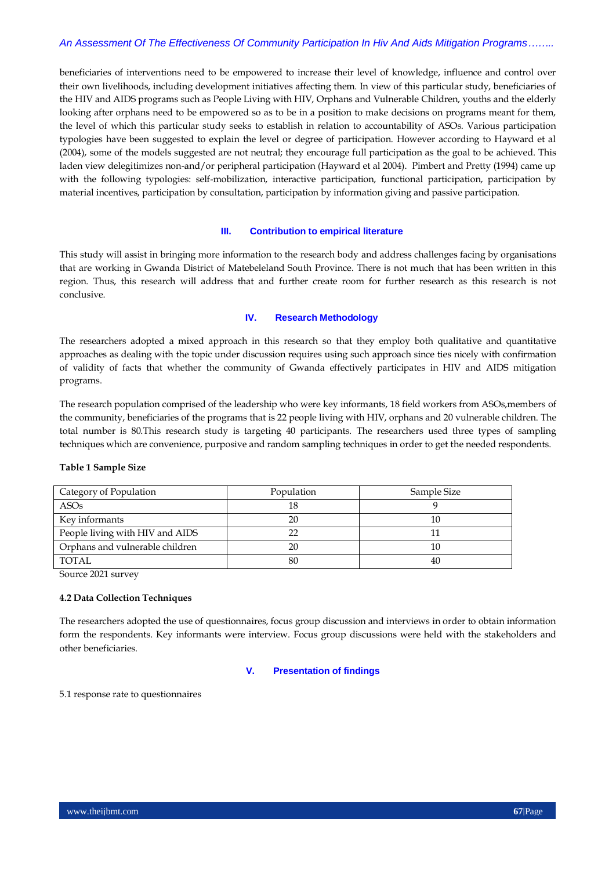## *An Assessment Of The Effectiveness Of Community Participation In Hiv And Aids Mitigation Programs……..*

beneficiaries of interventions need to be empowered to increase their level of knowledge, influence and control over their own livelihoods, including development initiatives affecting them. In view of this particular study, beneficiaries of the HIV and AIDS programs such as People Living with HIV, Orphans and Vulnerable Children, youths and the elderly looking after orphans need to be empowered so as to be in a position to make decisions on programs meant for them, the level of which this particular study seeks to establish in relation to accountability of ASOs. Various participation typologies have been suggested to explain the level or degree of participation. However according to Hayward et al (2004), some of the models suggested are not neutral; they encourage full participation as the goal to be achieved. This laden view delegitimizes non-and/or peripheral participation (Hayward et al 2004). Pimbert and Pretty (1994) came up with the following typologies: self-mobilization, interactive participation, functional participation, participation by material incentives, participation by consultation, participation by information giving and passive participation.

## **III. Contribution to empirical literature**

This study will assist in bringing more information to the research body and address challenges facing by organisations that are working in Gwanda District of Matebeleland South Province. There is not much that has been written in this region. Thus, this research will address that and further create room for further research as this research is not conclusive.

## **IV. Research Methodology**

The researchers adopted a mixed approach in this research so that they employ both qualitative and quantitative approaches as dealing with the topic under discussion requires using such approach since ties nicely with confirmation of validity of facts that whether the community of Gwanda effectively participates in HIV and AIDS mitigation programs.

The research population comprised of the leadership who were key informants, 18 field workers from ASOs,members of the community, beneficiaries of the programs that is 22 people living with HIV, orphans and 20 vulnerable children. The total number is 80.This research study is targeting 40 participants. The researchers used three types of sampling techniques which are convenience, purposive and random sampling techniques in order to get the needed respondents.

## **Table 1 Sample Size**

| Category of Population          | Population | Sample Size |  |
|---------------------------------|------------|-------------|--|
| ASO <sub>s</sub>                |            |             |  |
| Key informants                  | 20         |             |  |
| People living with HIV and AIDS |            |             |  |
| Orphans and vulnerable children | 20         | 10          |  |
| TOTAL.                          | 80         | 40          |  |

Source 2021 survey

## **4.2 Data Collection Techniques**

The researchers adopted the use of questionnaires, focus group discussion and interviews in order to obtain information form the respondents. Key informants were interview. Focus group discussions were held with the stakeholders and other beneficiaries.

## **V. Presentation of findings**

5.1 response rate to questionnaires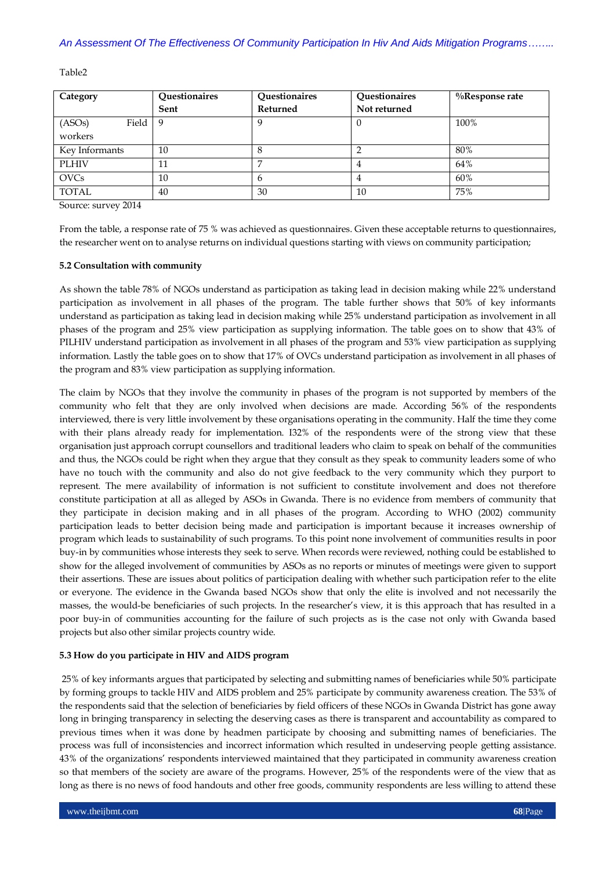Table2

| Category        | Questionaires | Questionaires | Questionaires | $\%$ Response rate |
|-----------------|---------------|---------------|---------------|--------------------|
|                 | Sent          | Returned      | Not returned  |                    |
| Field<br>(ASOs) | -9            |               |               | 100%               |
| workers         |               |               |               |                    |
| Key Informants  | 10            |               |               | 80%                |
| <b>PLHIV</b>    | 11            |               |               | 64%                |
| <b>OVCs</b>     | 10            |               |               | 60%                |
| <b>TOTAL</b>    | 40            | 30            | 10            | 75%                |

Source: survey 2014

From the table, a response rate of 75 % was achieved as questionnaires. Given these acceptable returns to questionnaires, the researcher went on to analyse returns on individual questions starting with views on community participation;

## **5.2 Consultation with community**

As shown the table 78% of NGOs understand as participation as taking lead in decision making while 22% understand participation as involvement in all phases of the program. The table further shows that 50% of key informants understand as participation as taking lead in decision making while 25% understand participation as involvement in all phases of the program and 25% view participation as supplying information. The table goes on to show that 43% of PILHIV understand participation as involvement in all phases of the program and 53% view participation as supplying information. Lastly the table goes on to show that 17% of OVCs understand participation as involvement in all phases of the program and 83% view participation as supplying information.

The claim by NGOs that they involve the community in phases of the program is not supported by members of the community who felt that they are only involved when decisions are made. According 56% of the respondents interviewed, there is very little involvement by these organisations operating in the community. Half the time they come with their plans already ready for implementation. I32% of the respondents were of the strong view that these organisation just approach corrupt counsellors and traditional leaders who claim to speak on behalf of the communities and thus, the NGOs could be right when they argue that they consult as they speak to community leaders some of who have no touch with the community and also do not give feedback to the very community which they purport to represent. The mere availability of information is not sufficient to constitute involvement and does not therefore constitute participation at all as alleged by ASOs in Gwanda. There is no evidence from members of community that they participate in decision making and in all phases of the program. According to WHO (2002) community participation leads to better decision being made and participation is important because it increases ownership of program which leads to sustainability of such programs. To this point none involvement of communities results in poor buy-in by communities whose interests they seek to serve. When records were reviewed, nothing could be established to show for the alleged involvement of communities by ASOs as no reports or minutes of meetings were given to support their assertions. These are issues about politics of participation dealing with whether such participation refer to the elite or everyone. The evidence in the Gwanda based NGOs show that only the elite is involved and not necessarily the masses, the would-be beneficiaries of such projects. In the researcher"s view, it is this approach that has resulted in a poor buy-in of communities accounting for the failure of such projects as is the case not only with Gwanda based projects but also other similar projects country wide.

## **5.3 How do you participate in HIV and AIDS program**

25% of key informants argues that participated by selecting and submitting names of beneficiaries while 50% participate by forming groups to tackle HIV and AIDS problem and 25% participate by community awareness creation. The 53% of the respondents said that the selection of beneficiaries by field officers of these NGOs in Gwanda District has gone away long in bringing transparency in selecting the deserving cases as there is transparent and accountability as compared to previous times when it was done by headmen participate by choosing and submitting names of beneficiaries. The process was full of inconsistencies and incorrect information which resulted in undeserving people getting assistance. 43% of the organizations" respondents interviewed maintained that they participated in community awareness creation so that members of the society are aware of the programs. However, 25% of the respondents were of the view that as long as there is no news of food handouts and other free goods, community respondents are less willing to attend these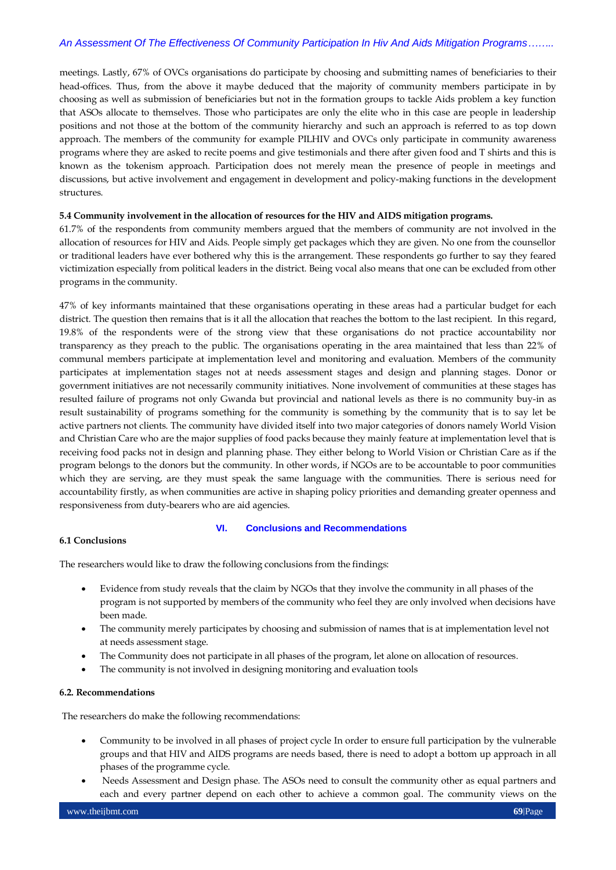## *An Assessment Of The Effectiveness Of Community Participation In Hiv And Aids Mitigation Programs……..*

meetings. Lastly, 67% of OVCs organisations do participate by choosing and submitting names of beneficiaries to their head-offices. Thus, from the above it maybe deduced that the majority of community members participate in by choosing as well as submission of beneficiaries but not in the formation groups to tackle Aids problem a key function that ASOs allocate to themselves. Those who participates are only the elite who in this case are people in leadership positions and not those at the bottom of the community hierarchy and such an approach is referred to as top down approach. The members of the community for example PILHIV and OVCs only participate in community awareness programs where they are asked to recite poems and give testimonials and there after given food and T shirts and this is known as the tokenism approach. Participation does not merely mean the presence of people in meetings and discussions, but active involvement and engagement in development and policy-making functions in the development structures.

## **5.4 Community involvement in the allocation of resources for the HIV and AIDS mitigation programs.**

61.7% of the respondents from community members argued that the members of community are not involved in the allocation of resources for HIV and Aids. People simply get packages which they are given. No one from the counsellor or traditional leaders have ever bothered why this is the arrangement. These respondents go further to say they feared victimization especially from political leaders in the district. Being vocal also means that one can be excluded from other programs in the community.

47% of key informants maintained that these organisations operating in these areas had a particular budget for each district. The question then remains that is it all the allocation that reaches the bottom to the last recipient. In this regard, 19.8% of the respondents were of the strong view that these organisations do not practice accountability nor transparency as they preach to the public. The organisations operating in the area maintained that less than 22% of communal members participate at implementation level and monitoring and evaluation. Members of the community participates at implementation stages not at needs assessment stages and design and planning stages. Donor or government initiatives are not necessarily community initiatives. None involvement of communities at these stages has resulted failure of programs not only Gwanda but provincial and national levels as there is no community buy-in as result sustainability of programs something for the community is something by the community that is to say let be active partners not clients. The community have divided itself into two major categories of donors namely World Vision and Christian Care who are the major supplies of food packs because they mainly feature at implementation level that is receiving food packs not in design and planning phase. They either belong to World Vision or Christian Care as if the program belongs to the donors but the community. In other words, if NGOs are to be accountable to poor communities which they are serving, are they must speak the same language with the communities. There is serious need for accountability firstly, as when communities are active in shaping policy priorities and demanding greater openness and responsiveness from duty-bearers who are aid agencies.

## **VI. Conclusions and Recommendations**

## **6.1 Conclusions**

The researchers would like to draw the following conclusions from the findings:

- Evidence from study reveals that the claim by NGOs that they involve the community in all phases of the program is not supported by members of the community who feel they are only involved when decisions have been made.
- The community merely participates by choosing and submission of names that is at implementation level not at needs assessment stage.
- The Community does not participate in all phases of the program, let alone on allocation of resources.
- The community is not involved in designing monitoring and evaluation tools

## **6.2. Recommendations**

The researchers do make the following recommendations:

- Community to be involved in all phases of project cycle In order to ensure full participation by the vulnerable groups and that HIV and AIDS programs are needs based, there is need to adopt a bottom up approach in all phases of the programme cycle.
- Needs Assessment and Design phase. The ASOs need to consult the community other as equal partners and each and every partner depend on each other to achieve a common goal. The community views on the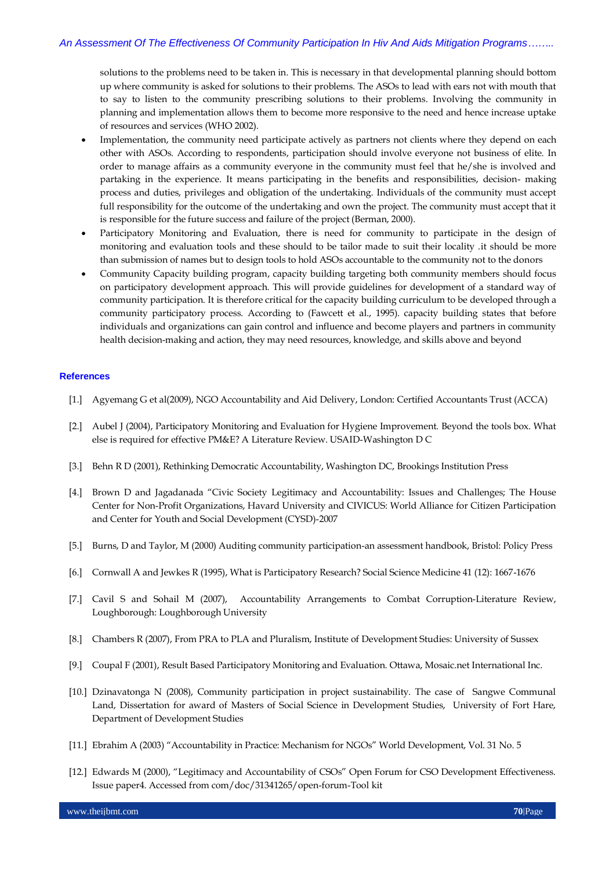solutions to the problems need to be taken in. This is necessary in that developmental planning should bottom up where community is asked for solutions to their problems. The ASOs to lead with ears not with mouth that to say to listen to the community prescribing solutions to their problems. Involving the community in planning and implementation allows them to become more responsive to the need and hence increase uptake of resources and services (WHO 2002).

- Implementation, the community need participate actively as partners not clients where they depend on each other with ASOs. According to respondents, participation should involve everyone not business of elite. In order to manage affairs as a community everyone in the community must feel that he/she is involved and partaking in the experience. It means participating in the benefits and responsibilities, decision- making process and duties, privileges and obligation of the undertaking. Individuals of the community must accept full responsibility for the outcome of the undertaking and own the project. The community must accept that it is responsible for the future success and failure of the project (Berman, 2000).
- Participatory Monitoring and Evaluation, there is need for community to participate in the design of monitoring and evaluation tools and these should to be tailor made to suit their locality .it should be more than submission of names but to design tools to hold ASOs accountable to the community not to the donors
- Community Capacity building program, capacity building targeting both community members should focus on participatory development approach. This will provide guidelines for development of a standard way of community participation. It is therefore critical for the capacity building curriculum to be developed through a community participatory process. According to (Fawcett et al., 1995). capacity building states that before individuals and organizations can gain control and influence and become players and partners in community health decision-making and action, they may need resources, knowledge, and skills above and beyond

## **References**

- [1.] Agyemang G et al(2009), NGO Accountability and Aid Delivery, London: Certified Accountants Trust (ACCA)
- [2.] Aubel J (2004), Participatory Monitoring and Evaluation for Hygiene Improvement. Beyond the tools box. What else is required for effective PM&E? A Literature Review. USAID-Washington D C
- [3.] Behn R D (2001), Rethinking Democratic Accountability, Washington DC, Brookings Institution Press
- [4.] Brown D and Jagadanada "Civic Society Legitimacy and Accountability: Issues and Challenges; The House Center for Non-Profit Organizations, Havard University and CIVICUS: World Alliance for Citizen Participation and Center for Youth and Social Development (CYSD)-2007
- [5.] Burns, D and Taylor, M (2000) Auditing community participation-an assessment handbook, Bristol: Policy Press
- [6.] Cornwall A and Jewkes R (1995), What is Participatory Research? Social Science Medicine 41 (12): 1667-1676
- [7.] Cavil S and Sohail M (2007), Accountability Arrangements to Combat Corruption-Literature Review, Loughborough: Loughborough University
- [8.] Chambers R (2007), From PRA to PLA and Pluralism, Institute of Development Studies: University of Sussex
- [9.] Coupal F (2001), Result Based Participatory Monitoring and Evaluation. Ottawa, Mosaic.net International Inc.
- [10.] Dzinavatonga N (2008), Community participation in project sustainability. The case of Sangwe Communal Land, Dissertation for award of Masters of Social Science in Development Studies, University of Fort Hare, Department of Development Studies
- [11.] Ebrahim A (2003) "Accountability in Practice: Mechanism for NGOs" World Development, Vol. 31 No. 5
- [12.] Edwards M (2000), "Legitimacy and Accountability of CSOs" Open Forum for CSO Development Effectiveness. Issue paper4. Accessed from com/doc/31341265/open-forum-Tool kit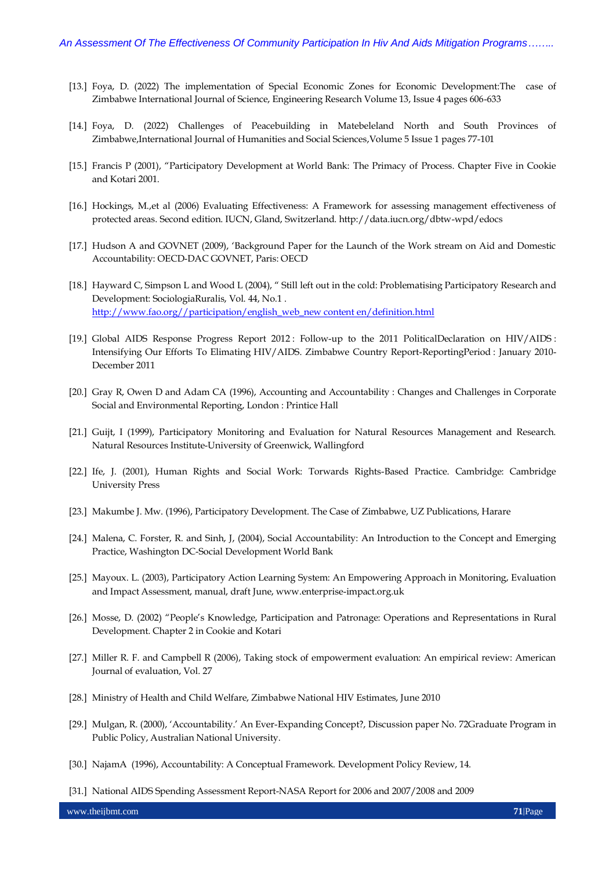- [13.] Foya, D. (2022) The implementation of Special Economic Zones for Economic Development:The case of Zimbabwe International Journal of Science, Engineering Research Volume 13, Issue 4 pages 606-633
- [14.] Foya, D. (2022) Challenges of Peacebuilding in Matebeleland North and South Provinces of Zimbabwe,International Journal of Humanities and Social Sciences,Volume 5 Issue 1 pages 77-101
- [15.] Francis P (2001), "Participatory Development at World Bank: The Primacy of Process. Chapter Five in Cookie and Kotari 2001.
- [16.] Hockings, M.,et al (2006) Evaluating Effectiveness: A Framework for assessing management effectiveness of protected areas. Second edition. IUCN, Gland, Switzerland. http://data.iucn.org/dbtw-wpd/edocs
- [17.] Hudson A and GOVNET (2009), "Background Paper for the Launch of the Work stream on Aid and Domestic Accountability: OECD-DAC GOVNET, Paris: OECD
- [18.] Hayward C, Simpson L and Wood L (2004), " Still left out in the cold: Problematising Participatory Research and Development: SociologiaRuralis, Vol. 44, No.1 . [http://www.fao.org//participation/english\\_web\\_new content en/definition.html](http://www.fao.org/participation/english_web_new%20content%20en/definition.html)
- [19.] Global AIDS Response Progress Report 2012 : Follow-up to the 2011 PoliticalDeclaration on HIV/AIDS : Intensifying Our Efforts To Elimating HIV/AIDS. Zimbabwe Country Report-ReportingPeriod : January 2010- December 2011
- [20.] Gray R, Owen D and Adam CA (1996), Accounting and Accountability : Changes and Challenges in Corporate Social and Environmental Reporting, London : Printice Hall
- [21.] Guijt, I (1999), Participatory Monitoring and Evaluation for Natural Resources Management and Research. Natural Resources Institute-University of Greenwick, Wallingford
- [22.] Ife, J. (2001), Human Rights and Social Work: Torwards Rights-Based Practice. Cambridge: Cambridge University Press
- [23.] Makumbe J. Mw. (1996), Participatory Development. The Case of Zimbabwe, UZ Publications, Harare
- [24.] Malena, C. Forster, R. and Sinh, J, (2004), Social Accountability: An Introduction to the Concept and Emerging Practice, Washington DC-Social Development World Bank
- [25.] Mayoux. L. (2003), Participatory Action Learning System: An Empowering Approach in Monitoring, Evaluation and Impact Assessment, manual, draft June, www.enterprise-impact.org.uk
- [26.] Mosse, D. (2002) "People"s Knowledge, Participation and Patronage: Operations and Representations in Rural Development. Chapter 2 in Cookie and Kotari
- [27.] Miller R. F. and Campbell R (2006), Taking stock of empowerment evaluation: An empirical review: American Journal of evaluation, Vol. 27
- [28.] Ministry of Health and Child Welfare, Zimbabwe National HIV Estimates, June 2010
- [29.] Mulgan, R. (2000), "Accountability." An Ever-Expanding Concept?, Discussion paper No. 72Graduate Program in Public Policy, Australian National University.
- [30.] NajamA (1996), Accountability: A Conceptual Framework. Development Policy Review, 14.
- [31.] National AIDS Spending Assessment Report-NASA Report for 2006 and 2007/2008 and 2009

www.theijbmt.com **71**|Page